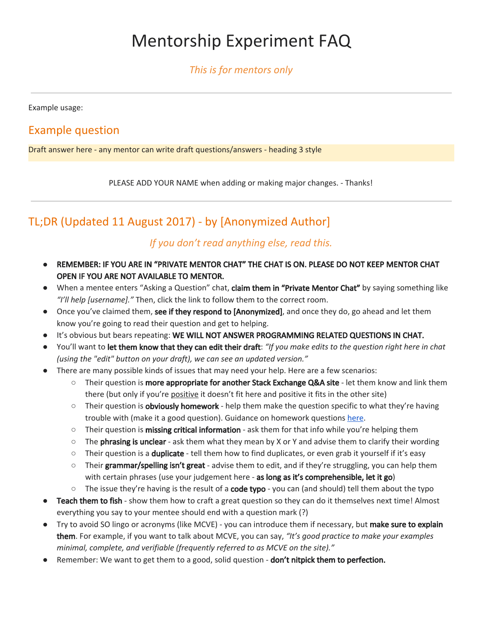# Mentorship Experiment FAQ

*This is for mentors only*

Example usage:

### Example question

Draft answer here - any mentor can write draft questions/answers - heading 3 style

PLEASE ADD YOUR NAME when adding or making major changes. - Thanks!

# TL;DR (Updated 11 August 2017) - by [Anonymized Author]

#### *If you don't read anything else, read this.*

- **●** REMEMBER: IF YOU ARE IN "PRIVATE MENTOR CHAT" THE CHAT IS ON. PLEASE DO NOT KEEP MENTOR CHAT OPEN IF YOU ARE NOT AVAILABLE TO MENTOR.
- When a mentee enters "Asking a Question" chat, claim them in "Private Mentor Chat" by saying something like *"I'll help [username]."* Then, click the link to follow them to the correct room.
- Once you've claimed them, see if they respond to [Anonymized], and once they do, go ahead and let them know you're going to read their question and get to helping.
- It's obvious but bears repeating: WE WILL NOT ANSWER PROGRAMMING RELATED QUESTIONS IN CHAT.
- You'll want to let them know that they can edit their draft: *"If you make edits to the question right here in chat (using the "edit" button on your draft), we can see an updated version."*
- There are many possible kinds of issues that may need your help. Here are a few scenarios:
	- $\circ$  Their question is **more appropriate for another Stack Exchange Q&A site** let them know and link them there (but only if you're positive it doesn't fit here and positive it fits in the other site)
	- Their question is **obviously homework** help them make the question specific to what they're having trouble with (make it a good question). Guidance on homework questions [here](https://meta.stackoverflow.com/questions/334822/how-do-i-ask-and-answer-homework-questions).
	- $\circ$  Their question is **missing critical information** ask them for that info while you're helping them
	- $\circ$  The phrasing is unclear ask them what they mean by X or Y and advise them to clarify their wording
	- Their question is a **duplicate** tell them how to find duplicates, or even grab it yourself if it's easy
	- $\circ$  Their grammar/spelling isn't great advise them to edit, and if they're struggling, you can help them with certain phrases (use your judgement here - as long as it's comprehensible, let it go)
	- $\circ$  The issue they're having is the result of a **code typo** you can (and should) tell them about the typo
- Teach them to fish show them how to craft a great question so they can do it themselves next time! Almost everything you say to your mentee should end with a question mark (?)
- Try to avoid SO lingo or acronyms (like MCVE) you can introduce them if necessary, but make sure to explain them. For example, if you want to talk about MCVE, you can say, *"It's good practice to make your examples minimal, complete, and verifiable (frequently referred to as MCVE on the site)."*
- Remember: We want to get them to a good, solid question don't nitpick them to perfection.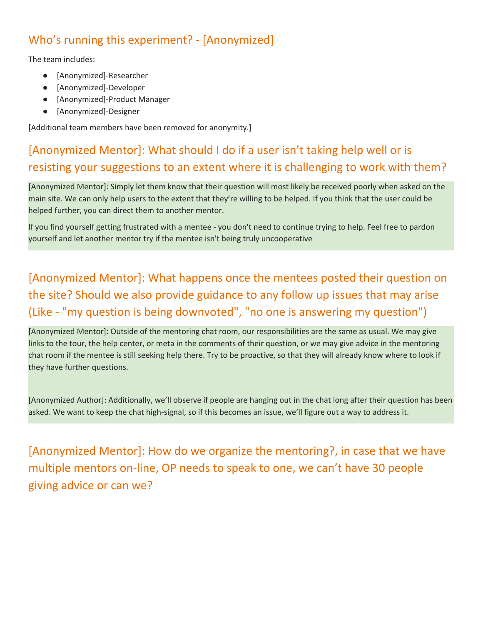# Who's running this experiment? - [Anonymized]

The team includes:

- [Anonymized]-Researcher
- [Anonymized]-Developer
- [Anonymized]-Product Manager
- [Anonymized]-Designer

[Additional team members have been removed for anonymity.]

# [Anonymized Mentor]: What should I do if a user isn't taking help well or is resisting your suggestions to an extent where it is challenging to work with them?

[Anonymized Mentor]: Simply let them know that their question will most likely be received poorly when asked on the main site. We can only help users to the extent that they're willing to be helped. If you think that the user could be helped further, you can direct them to another mentor.

If you find yourself getting frustrated with a mentee - you don't need to continue trying to help. Feel free to pardon yourself and let another mentor try if the mentee isn't being truly uncooperative

# [Anonymized Mentor]: What happens once the mentees posted their question on the site? Should we also provide guidance to any follow up issues that may arise (Like - "my question is being downvoted", "no one is answering my question")

[Anonymized Mentor]: Outside of the mentoring chat room, our responsibilities are the same as usual. We may give links to the tour, the help center, or meta in the comments of their question, or we may give advice in the mentoring chat room if the mentee is still seeking help there. Try to be proactive, so that they will already know where to look if they have further questions.

[Anonymized Author]: Additionally, we'll observe if people are hanging out in the chat long after their question has been asked. We want to keep the chat high-signal, so if this becomes an issue, we'll figure out a way to address it.

[Anonymized Mentor]: How do we organize the mentoring?, in case that we have multiple mentors on-line, OP needs to speak to one, we can't have 30 people giving advice or can we?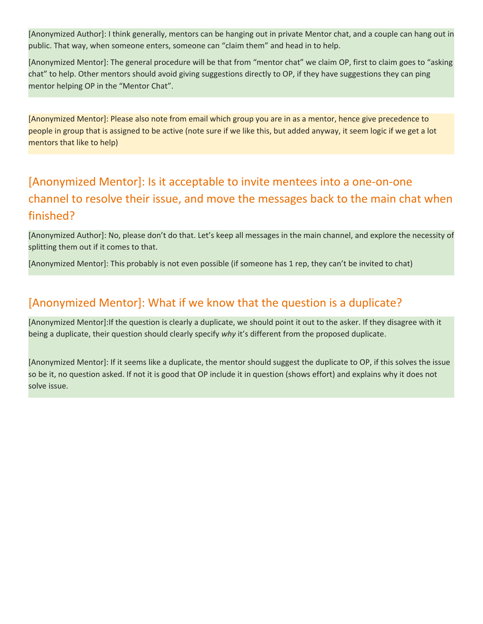[Anonymized Author]: I think generally, mentors can be hanging out in private Mentor chat, and a couple can hang out in public. That way, when someone enters, someone can "claim them" and head in to help.

[Anonymized Mentor]: The general procedure will be that from "mentor chat" we claim OP, first to claim goes to "asking chat" to help. Other mentors should avoid giving suggestions directly to OP, if they have suggestions they can ping mentor helping OP in the "Mentor Chat".

[Anonymized Mentor]: Please also note from email which group you are in as a mentor, hence give precedence to people in group that is assigned to be active (note sure if we like this, but added anyway, it seem logic if we get a lot mentors that like to help)

# [Anonymized Mentor]: Is it acceptable to invite mentees into a one-on-one channel to resolve their issue, and move the messages back to the main chat when finished?

[Anonymized Author]: No, please don't do that. Let's keep all messages in the main channel, and explore the necessity of splitting them out if it comes to that.

[Anonymized Mentor]: This probably is not even possible (if someone has 1 rep, they can't be invited to chat)

### [Anonymized Mentor]: What if we know that the question is a duplicate?

[Anonymized Mentor]:If the question is clearly a duplicate, we should point it out to the asker. If they disagree with it being a duplicate, their question should clearly specify *why* it's different from the proposed duplicate.

[Anonymized Mentor]: If it seems like a duplicate, the mentor should suggest the duplicate to OP, if this solves the issue so be it, no question asked. If not it is good that OP include it in question (shows effort) and explains why it does not solve issue.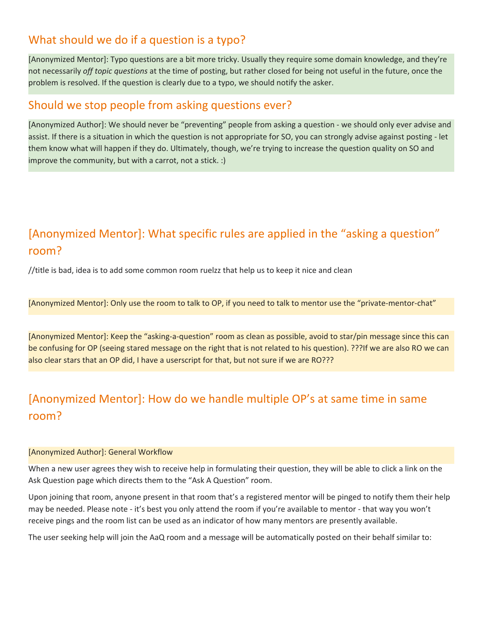### What should we do if a question is a typo?

[Anonymized Mentor]: Typo questions are a bit more tricky. Usually they require some domain knowledge, and they're not necessarily *off topic questions* at the time of posting, but rather closed for being not useful in the future, once the problem is resolved. If the question is clearly due to a typo, we should notify the asker.

#### Should we stop people from asking questions ever?

[Anonymized Author]: We should never be "preventing" people from asking a question - we should only ever advise and assist. If there is a situation in which the question is not appropriate for SO, you can strongly advise against posting - let them know what will happen if they do. Ultimately, though, we're trying to increase the question quality on SO and improve the community, but with a carrot, not a stick. :)

# [Anonymized Mentor]: What specific rules are applied in the "asking a question" room?

//title is bad, idea is to add some common room ruelzz that help us to keep it nice and clean

[Anonymized Mentor]: Only use the room to talk to OP, if you need to talk to mentor use the "private-mentor-chat"

[Anonymized Mentor]: Keep the "asking-a-question" room as clean as possible, avoid to star/pin message since this can be confusing for OP (seeing stared message on the right that is not related to his question). ???If we are also RO we can also clear stars that an OP did, I have a userscript for that, but not sure if we are RO???

# [Anonymized Mentor]: How do we handle multiple OP's at same time in same room?

#### [Anonymized Author]: General Workflow

When a new user agrees they wish to receive help in formulating their question, they will be able to click a link on the Ask Question page which directs them to the "Ask A Question" room.

Upon joining that room, anyone present in that room that's a registered mentor will be pinged to notify them their help may be needed. Please note - it's best you only attend the room if you're available to mentor - that way you won't receive pings and the room list can be used as an indicator of how many mentors are presently available.

The user seeking help will join the AaQ room and a message will be automatically posted on their behalf similar to: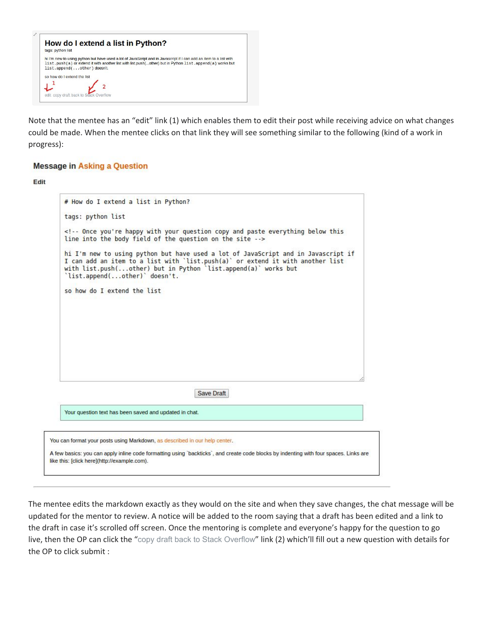

Note that the mentee has an "edit" link (1) which enables them to edit their post while receiving advice on what changes could be made. When the mentee clicks on that link they will see something similar to the following (kind of a work in progress):

#### **Message in Asking a Question**

#### Edit

| # How do I extend a list in Python?                                                                                                                                                                                                                                    |            |  |  |
|------------------------------------------------------------------------------------------------------------------------------------------------------------------------------------------------------------------------------------------------------------------------|------------|--|--|
| tags: python list                                                                                                                                                                                                                                                      |            |  |  |
| <!-- Once you're happy with your question copy and paste everything below this<br>line into the body field of the question on the site ->                                                                                                                              |            |  |  |
| hi I'm new to using python but have used a lot of JavaScript and in Javascript if<br>I can add an item to a list with 'list.push(a)' or extend it with another list<br>with list.push(other) but in Python 'list.append(a)' works but<br>'list.append(other)' doesn't. |            |  |  |
| so how do I extend the list                                                                                                                                                                                                                                            |            |  |  |
|                                                                                                                                                                                                                                                                        |            |  |  |
|                                                                                                                                                                                                                                                                        |            |  |  |
|                                                                                                                                                                                                                                                                        |            |  |  |
|                                                                                                                                                                                                                                                                        |            |  |  |
|                                                                                                                                                                                                                                                                        |            |  |  |
|                                                                                                                                                                                                                                                                        |            |  |  |
|                                                                                                                                                                                                                                                                        | Save Draft |  |  |
| Your question text has been saved and updated in chat.                                                                                                                                                                                                                 |            |  |  |
|                                                                                                                                                                                                                                                                        |            |  |  |
| You can format your posts using Markdown, as described in our help center.                                                                                                                                                                                             |            |  |  |

The mentee edits the markdown exactly as they would on the site and when they save changes, the chat message will be updated for the mentor to review. A notice will be added to the room saying that a draft has been edited and a link to the draft in case it's scrolled off screen. Once the mentoring is complete and everyone's happy for the question to go live, then the OP can click the "copy draft back to Stack [Overflow](https://chat.stackoverflow.com/messages/38569494/export-draft)" link (2) which'll fill out a new question with details for the OP to click submit :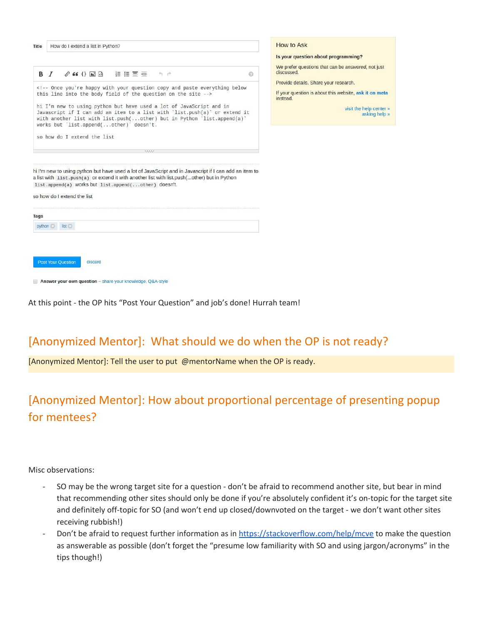| Title       |     |                             | How do I extend a list in Python? |                                                                                                                                                                                                                                                                                                                                                                                                             |         |      |  |                                                                                                        |
|-------------|-----|-----------------------------|-----------------------------------|-------------------------------------------------------------------------------------------------------------------------------------------------------------------------------------------------------------------------------------------------------------------------------------------------------------------------------------------------------------------------------------------------------------|---------|------|--|--------------------------------------------------------------------------------------------------------|
|             | B Z |                             |                                   |                                                                                                                                                                                                                                                                                                                                                                                                             |         | o, e |  | Q                                                                                                      |
|             |     |                             |                                   | Once you're happy with your question copy and paste everything below<br>this line into the body field of the question on the site<br>hi I'm new to using python but have used a lot of JavaScript and in<br>Javascript if I can add an item to a list with 'list.push(a)' or extend it<br>with another list with list.push(other) but in Python 'list.append(a)'<br>works but 'list.append(other)' doesn't. |         |      |  |                                                                                                        |
|             |     |                             |                                   |                                                                                                                                                                                                                                                                                                                                                                                                             |         |      |  |                                                                                                        |
|             |     |                             | so how do I extend the list       |                                                                                                                                                                                                                                                                                                                                                                                                             | SANCY 1 |      |  |                                                                                                        |
|             |     |                             |                                   | a list with list.push(a) or extend it with another list with list.push(other) but in Python<br>list.append(a) works but list.append(other) doesn't.                                                                                                                                                                                                                                                         |         |      |  | hi I'm new to using python but have used a lot of JavaScript and in Javascript if I can add an item to |
|             |     | so how do I extend the list |                                   |                                                                                                                                                                                                                                                                                                                                                                                                             |         |      |  |                                                                                                        |
| <b>Tags</b> |     |                             |                                   |                                                                                                                                                                                                                                                                                                                                                                                                             |         |      |  |                                                                                                        |

**How to Ask** 

Is your question about programming?

We prefer questions that can be answered, not just discussed

Provide details. Share your research.

If your question is about this website, ask it on metal *instead* 

> visit the help center » asking help »

| <b>Tags</b><br>python <b>C</b> | list                      |                                                            |  |  |  |
|--------------------------------|---------------------------|------------------------------------------------------------|--|--|--|
|                                |                           |                                                            |  |  |  |
|                                | <b>Post Your Question</b> | discard                                                    |  |  |  |
|                                |                           | Answer your own question - share your knowledge, Q&A-style |  |  |  |

At this point - the OP hits "Post Your Question" and job's done! Hurrah team!

### [Anonymized Mentor]: What should we do when the OP is not ready?

[Anonymized Mentor]: Tell the user to put @mentorName when the OP is ready.

# [Anonymized Mentor]: How about proportional percentage of presenting popup for mentees?

Misc observations:

- SO may be the wrong target site for a question don't be afraid to recommend another site, but bear in mind that recommending other sites should only be done if you're absolutely confident it's on-topic for the target site and definitely off-topic for SO (and won't end up closed/downvoted on the target - we don't want other sites receiving rubbish!)
- Don't be afraid to request further information as in <https://stackoverflow.com/help/mcve> to make the question as answerable as possible (don't forget the "presume low familiarity with SO and using jargon/acronyms" in the tips though!)